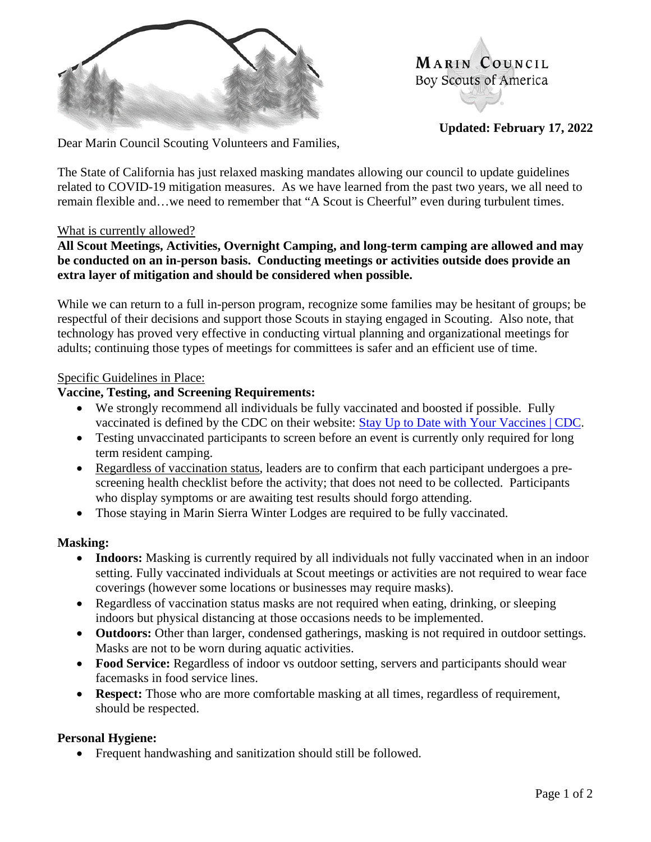

MARIN COUNCIL Boy Scouts of America

**Updated: February 17, 2022**

Dear Marin Council Scouting Volunteers and Families,

The State of California has just relaxed masking mandates allowing our council to update guidelines related to COVID-19 mitigation measures. As we have learned from the past two years, we all need to remain flexible and…we need to remember that "A Scout is Cheerful" even during turbulent times.

# What is currently allowed?

# **All Scout Meetings, Activities, Overnight Camping, and long-term camping are allowed and may be conducted on an in-person basis. Conducting meetings or activities outside does provide an extra layer of mitigation and should be considered when possible.**

While we can return to a full in-person program, recognize some families may be hesitant of groups; be respectful of their decisions and support those Scouts in staying engaged in Scouting. Also note, that technology has proved very effective in conducting virtual planning and organizational meetings for adults; continuing those types of meetings for committees is safer and an efficient use of time.

### Specific Guidelines in Place:

### **Vaccine, Testing, and Screening Requirements:**

- We strongly recommend all individuals be fully vaccinated and boosted if possible. Fully vaccinated is defined by the CDC on their website: [Stay Up to Date with Your Vaccines | CDC.](https://www.cdc.gov/coronavirus/2019-ncov/vaccines/stay-up-to-date.html)
- Testing unvaccinated participants to screen before an event is currently only required for long term resident camping.
- Regardless of vaccination status, leaders are to confirm that each participant undergoes a prescreening health checklist before the activity; that does not need to be collected. Participants who display symptoms or are awaiting test results should forgo attending.
- Those staying in Marin Sierra Winter Lodges are required to be fully vaccinated.

### **Masking:**

- **Indoors:** Masking is currently required by all individuals not fully vaccinated when in an indoor setting. Fully vaccinated individuals at Scout meetings or activities are not required to wear face coverings (however some locations or businesses may require masks).
- Regardless of vaccination status masks are not required when eating, drinking, or sleeping indoors but physical distancing at those occasions needs to be implemented.
- **Outdoors:** Other than larger, condensed gatherings, masking is not required in outdoor settings. Masks are not to be worn during aquatic activities.
- **Food Service:** Regardless of indoor vs outdoor setting, servers and participants should wear facemasks in food service lines.
- **Respect:** Those who are more comfortable masking at all times, regardless of requirement, should be respected.

### **Personal Hygiene:**

• Frequent handwashing and sanitization should still be followed.